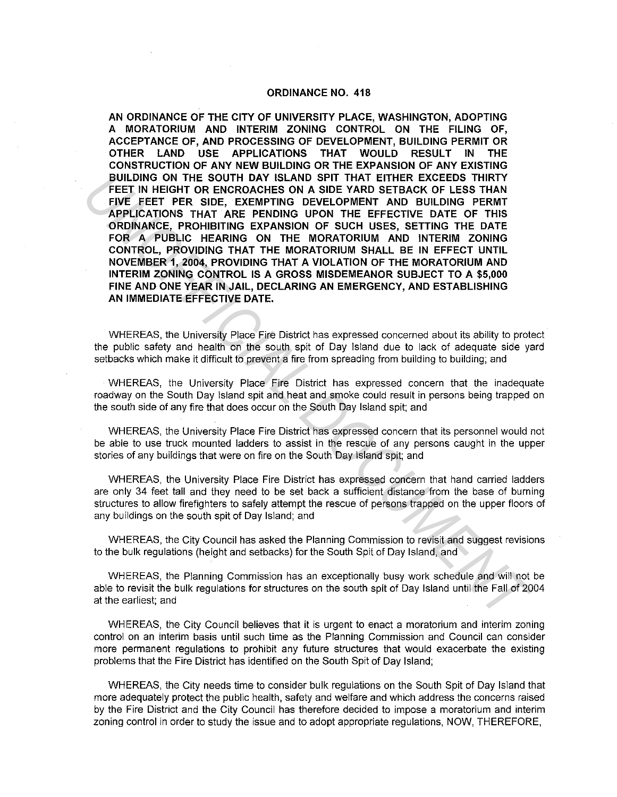## **ORDINANCE NO. 418**

**AN ORDINANCE OF THE CITY OF UNIVERSITY PLACE, WASHINGTON, ADOPTING A MORATORIUM AND INTERIM ZONING CONTROL ON THE FILING OF, ACCEPTANCE OF, AND PROCESSING OF DEVELOPMENT, BUILDING PERMIT OR OTHER LAND USE APPLICATIONS THAT WOULD RESULT IN THE CONSTRUCTION OF ANY NEW BUILDING OR THE EXPANSION OF ANY EXISTING BUILDING ON THE SOUTH DAY ISLAND SPIT THAT EITHER EXCEEDS THIRTY FEET IN HEIGHT OR ENCROACHES ON A SIDE YARD SETBACK OF LESS THAN FIVE FEET PER SIDE, EXEMPTING DEVELOPMENT AND BUILDING PERMT APPLICATIONS THAT ARE PENDING UPON THE EFFECTIVE DATE OF THIS ORDINANCE, PROHIBITING EXPANSION OF SUCH USES, SETTING THE DATE FOR A PUBLIC HEARING ON THE MORATORIUM AND INTERIM ZONING CONTROL, PROVIDING THAT THE MORATORIUM SHALL BE IN EFFECT UNTIL NOVEMBER 1, 2004, PROVIDING THAT A VIOLATION OF THE MORATORIUM AND INTERIM ZONING CONTROL IS A GROSS MISDEMEANOR SUBJECT TO A \$5,000 FINE AND ONE YEAR IN JAIL, DECLARING AN EMERGENCY, AND ESTABLISHING AN IMMEDIATE EFFECTIVE DATE. BULLING ON THE SOUTH DAY ISLAND SPIT THAT EITHER EXCEEDS THIRTY (WE FEET IN HEIGHT OR ENCROACHES ON A SIDE YARD SETBACK OF LESS THAN<br>FIVE FIEET IN HEIGHT DR. FOR MORTING DEVELOPMENT AND BULLING PERMIT FOR SUPPLICATIONS TH** 

WHEREAS, the University Place Fire District has expressed concerned about its ability to protect the public safety and health on the south spit of Day Island due to lack of adequate side yard setbacks which make it difficult to prevent a fire from spreading from building to building; and

WHEREAS, the University Place Fire District has expressed concern that the inadequate roadway on the South Day Island spit and heat and smoke could result in persons being trapped on the south side of any fire that does occur on the South Day Island spit; and

WHEREAS, the University Place Fire District has expressed concern that its personnel would not be able to use truck mounted ladders to assist in the rescue of any persons caught in the upper stories of any buildings that were on fire on the South Day Island spit; and

WHEREAS, the University Place Fire District has expressed concern that hand carried ladders are only 34 feet tall and they need to be set back a sufficient distance from the base of burning structures to allow firefighters to safely attempt the rescue of persons trapped on the upper floors of any buildings on the south spit of Day Island; and

WHEREAS, the City Council has asked the Planning Commission to revisit and suggest revisions to the bulk regulations (height and setbacks) for the South Spit of Day Island, and

WHEREAS, the Planning Commission has an exceptionally busy work schedule and will not be able to revisit the bulk regulations for structures on the south spit of Day Island until the Fall of 2004 at the earliest; and

WHEREAS, the City Council believes that it is urgent to enact a moratorium and interim zoning control on an interim basis until such time as the Planning Commission and Council can consider more permanent regulations to prohibit any future structures that would exacerbate the existing problems that the Fire District has identified on the South Spit of Day Island;

WHEREAS, the City needs time to consider bulk regulations on the South Spit of Day Island that more adequately protect the public health, safety and welfare and which address the concerns raised by the Fire District and the City Council has therefore decided to impose a moratorium and interim zoning control in order to study the issue and to adopt appropriate regulations, NOW, THEREFORE,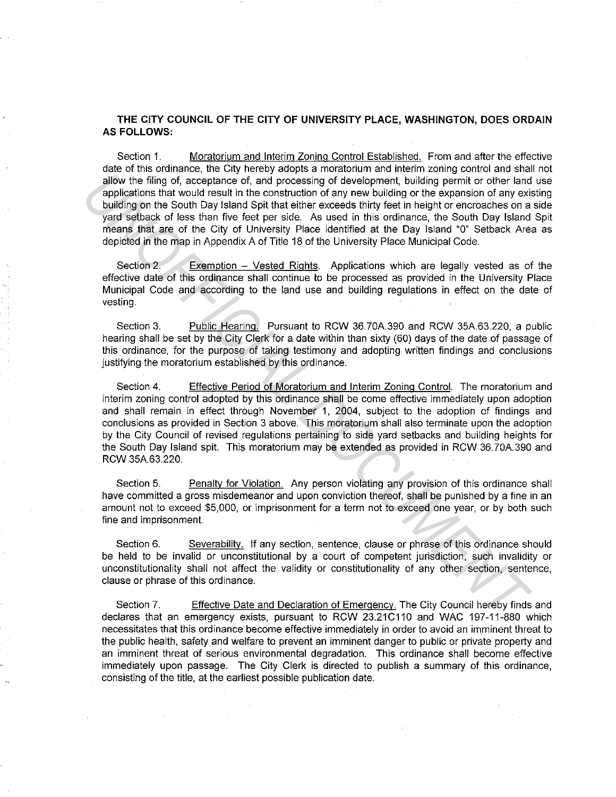**THE CITY COUNCIL OF THE CITY OF UNIVERSITY PLACE, WASHINGTON, DOES ORDAIN AS FOLLOWS:** 

Section 1. Moratorium and Interim Zoning Control Established. From and after the effective date of this ordinance, the City hereby adopts a moratorium and interim zoning control and shall not allow the filing of, acceptance of, and processing of development, building permit or other land use applications that would result in the construction of any new building or the expansion of any existing building on the South Day Island Spit that either exceeds thirty feet in height or encroaches on a side yard setback of less than five feet per side. As used in this ordinance, the South Day Island Spit means that are of the City of University Place identified at the Day Island "O" Setback Area as depicted in the map in Appendix A of Title 18 of the University Place Municipal Code.

Section 2. Exemption – Vested Rights. Applications which are legally vested as of the effective date of this ordinance shall continue to be processed as provided in the University Place Municipal Code and according to the land use and building regulations in effect on the date of vesting.

Section 3. Public Hearing. Pursuant to RCW 36. 70A.390 and RCW 35A.63.220, a public hearing shall be set by the City Clerk for a date within than sixty (60) days of the date of passage of this ordinance, for the purpose of taking testimony and adopting written findings and conclusions justifying the moratorium established by this ordinance.

Section 4. Effective Period of Moratorium and Interim Zoning Control. The moratorium and interim zoning control adopted by this ordinance shall be come effective immediately upon adoption and shall remain in effect through November 1, 2004, subject to the adoption of findings and conclusions as provided in Section 3 above. This moratorium shall also terminate upon the adoption by the City Council of revised regulations pertaining to side yard setbacks and building heights for the South Day Island spit. This moratorium may be extended as provided in RCW 36.70A.390 and RCW 35A.63.220. analy the filing of acceptance of, and processing of development, building permit or other land<br>applications that would result in the constantion of any new building or the expansion of any exi-<br>building on the South Day I

Section 5. Penalty for Violation. Any person violating any provision of this ordinance shall have committed a gross misdemeanor and upon conviction thereof, shall be punished by a fine in an amount not to exceed \$5,000, or imprisonment for a term not to exceed one year, or by both such fine and imprisonment.

Section 6. Severability. If any section, sentence, clause or phrase of this ordinance should be held to be invalid or unconstitutional by a court of competent jurisdiction, such invalidity or unconstitutionality shall not affect the validity or constitutionality of any other section, sentence, clause or phrase of this ordinance.

Section 7. Effective Date and Declaration of Emergency. The City Council hereby finds and declares that an emergency exists, pursuant to RCW 23.21C110 and WAC 197-11-880 which necessitates that this ordinance become effective immediately in order to avoid an imminent threat to the public health, safety and welfare to prevent an imminent danger to public or private property and an imminent threat of serious environmental degradation. This ordinance shall become effective immediately upon passage. The City Clerk is directed to publish a summary of this ordinance, consisting of the title, at the earliest possible publication date.

 $\mathcal{L}^{\mathcal{L}}(\mathcal{L})$